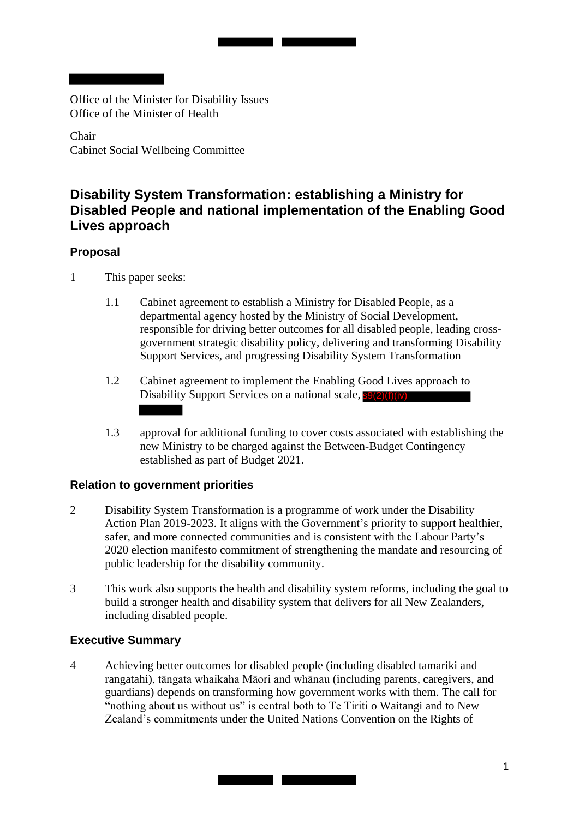Office of the Minister for Disability Issues Office of the Minister of Health

Chair Cabinet Social Wellbeing Committee

# **Disability System Transformation: establishing a Ministry for Disabled People and national implementation of the Enabling Good Lives approach**

# **Proposal**

- 1 This paper seeks:
	- 1.1 Cabinet agreement to establish a Ministry for Disabled People, as a departmental agency hosted by the Ministry of Social Development, responsible for driving better outcomes for all disabled people, leading crossgovernment strategic disability policy, delivering and transforming Disability Support Services, and progressing Disability System Transformation
	- 1.2 Cabinet agreement to implement the Enabling Good Lives approach to Disability Support Services on a national scale, s9(2)(f)(iv)
	- 1.3 approval for additional funding to cover costs associated with establishing the new Ministry to be charged against the Between-Budget Contingency established as part of Budget 2021.

# **Relation to government priorities**

- 2 Disability System Transformation is a programme of work under the Disability Action Plan 2019-2023. It aligns with the Government's priority to support healthier, safer, and more connected communities and is consistent with the Labour Party's 2020 election manifesto commitment of strengthening the mandate and resourcing of public leadership for the disability community.
- 3 This work also supports the health and disability system reforms, including the goal to build a stronger health and disability system that delivers for all New Zealanders, including disabled people.

# **Executive Summary**

4 Achieving better outcomes for disabled people (including disabled tamariki and rangatahi), tāngata whaikaha Māori and whānau (including parents, caregivers, and guardians) depends on transforming how government works with them. The call for "nothing about us without us" is central both to Te Tiriti o Waitangi and to New Zealand's commitments under the United Nations Convention on the Rights of

<u> The Common Service Common Service Common Service Common Service Common Service Common Service Common Service Common Service Common Service Common Service Common Service Common Service Common Service Common Service Common</u>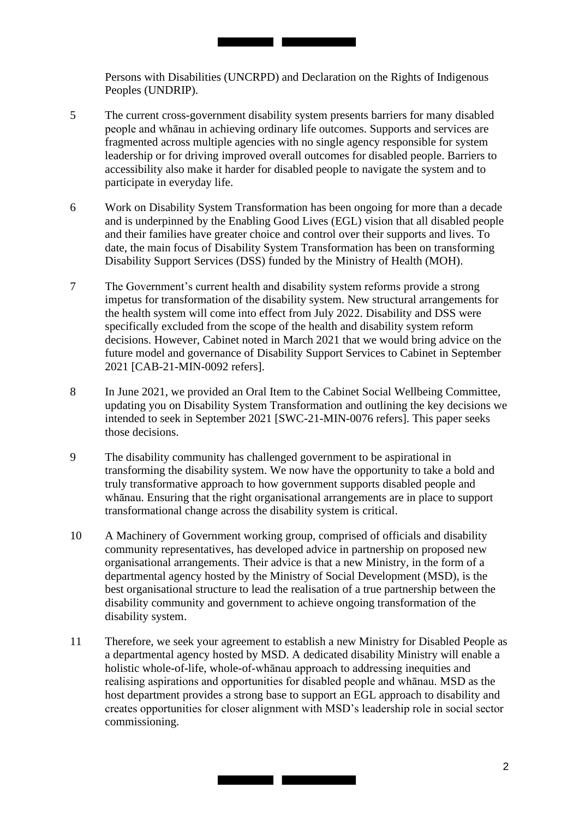Persons with Disabilities (UNCRPD) and Declaration on the Rights of Indigenous Peoples (UNDRIP).

5 The current cross-government disability system presents barriers for many disabled people and whānau in achieving ordinary life outcomes. Supports and services are fragmented across multiple agencies with no single agency responsible for system leadership or for driving improved overall outcomes for disabled people. Barriers to accessibility also make it harder for disabled people to navigate the system and to participate in everyday life.

**The Committee of the Committee** 

- and their families have greater choice and control over their supports and lives. To 6 Work on Disability System Transformation has been ongoing for more than a decade and is underpinned by the Enabling Good Lives (EGL) vision that all disabled people date, the main focus of Disability System Transformation has been on transforming Disability Support Services (DSS) funded by the Ministry of Health (MOH).
- 7 The Government's current health and disability system reforms provide a strong impetus for transformation of the disability system. New structural arrangements for the health system will come into effect from July 2022. Disability and DSS were specifically excluded from the scope of the health and disability system reform decisions. However, Cabinet noted in March 2021 that we would bring advice on the future model and governance of Disability Support Services to Cabinet in September 2021 [CAB-21-MIN-0092 refers].
- 8 In June 2021, we provided an Oral Item to the Cabinet Social Wellbeing Committee, updating you on Disability System Transformation and outlining the key decisions we intended to seek in September 2021 [SWC-21-MIN-0076 refers]. This paper seeks those decisions.
- 9 The disability community has challenged government to be aspirational in transforming the disability system. We now have the opportunity to take a bold and truly transformative approach to how government supports disabled people and whānau. Ensuring that the right organisational arrangements are in place to support transformational change across the disability system is critical.
- 10 A Machinery of Government working group, comprised of officials and disability community representatives, has developed advice in partnership on proposed new organisational arrangements. Their advice is that a new Ministry, in the form of a departmental agency hosted by the Ministry of Social Development (MSD), is the best organisational structure to lead the realisation of a true partnership between the disability community and government to achieve ongoing transformation of the disability system.
- 11 Therefore, we seek your agreement to establish a new Ministry for Disabled People as a departmental agency hosted by MSD. A dedicated disability Ministry will enable a holistic whole-of-life, whole-of-whānau approach to addressing inequities and realising aspirations and opportunities for disabled people and whānau. MSD as the host department provides a strong base to support an EGL approach to disability and creates opportunities for closer alignment with MSD's leadership role in social sector commissioning.

<u> Tanzania de la provincia de la provincia de la provincia de la provincia de la provincia de la provincia de la</u>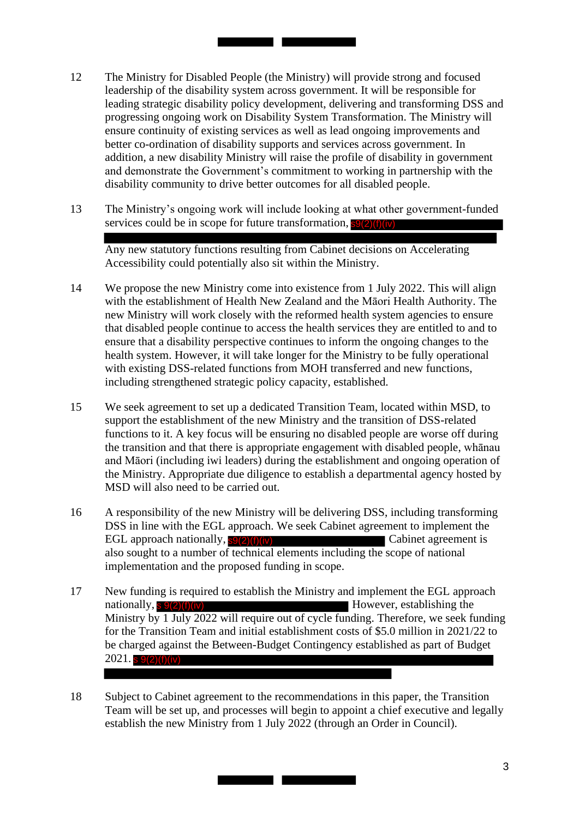12 The Ministry for Disabled People (the Ministry) will provide strong and focused leadership of the disability system across government. It will be responsible for leading strategic disability policy development, delivering and transforming DSS and progressing ongoing work on Disability System Transformation. The Ministry will ensure continuity of existing services as well as lead ongoing improvements and better co-ordination of disability supports and services across government. In addition, a new disability Ministry will raise the profile of disability in government and demonstrate the Government's commitment to working in partnership with the disability community to drive better outcomes for all disabled people.

<u> Tanzania de la conte</u>

13 The Ministry's ongoing work will include looking at what other government-funded services could be in scope for future transformation, s9(2)(f)(iv)

Any new statutory functions resulting from Cabinet decisions on Accelerating Accessibility could potentially also sit within the Ministry.

- 14 We propose the new Ministry come into existence from 1 July 2022. This will align with the establishment of Health New Zealand and the Māori Health Authority. The new Ministry will work closely with the reformed health system agencies to ensure that disabled people continue to access the health services they are entitled to and to ensure that a disability perspective continues to inform the ongoing changes to the health system. However, it will take longer for the Ministry to be fully operational with existing DSS-related functions from MOH transferred and new functions, including strengthened strategic policy capacity, established.
- 15 We seek agreement to set up a dedicated Transition Team, located within MSD, to support the establishment of the new Ministry and the transition of DSS-related functions to it. A key focus will be ensuring no disabled people are worse off during the transition and that there is appropriate engagement with disabled people, whānau and Māori (including iwi leaders) during the establishment and ongoing operation of the Ministry. Appropriate due diligence to establish a departmental agency hosted by MSD will also need to be carried out.
- 16 A responsibility of the new Ministry will be delivering DSS, including transforming DSS in line with the EGL approach. We seek Cabinet agreement to implement the EGL approach nationally,  $s9(2)(f)(iv)$  Cabinet agreement is also sought to a number of technical elements including the scope of national implementation and the proposed funding in scope.
- 17 New funding is required to establish the Ministry and implement the EGL approach However, establishing the Ministry by 1 July 2022 will require out of cycle funding. Therefore, we seek funding for the Transition Team and initial establishment costs of \$5.0 million in 2021/22 to be charged against the Between-Budget Contingency established as part of Budget nationally, s 9(2)(f)(iv)  $2021.$  s  $9(2)(f)(iv)$
- 18 Subject to Cabinet agreement to the recommendations in this paper, the Transition Team will be set up, and processes will begin to appoint a chief executive and legally establish the new Ministry from 1 July 2022 (through an Order in Council).

<u> The Common Second Common Second Common Second Common Second Common Second Common Second Common Second Common Second</u>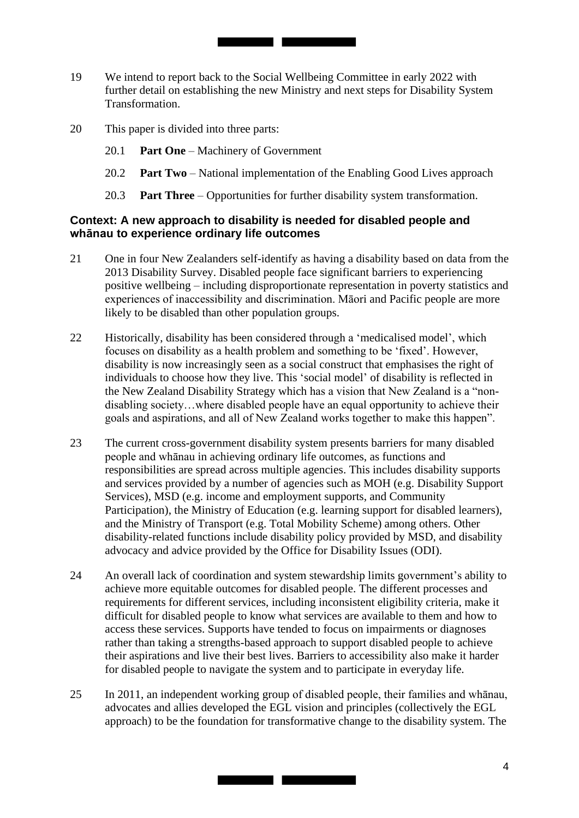19 We intend to report back to the Social Wellbeing Committee in early 2022 with further detail on establishing the new Ministry and next steps for Disability System Transformation.

<u> Tanzania de la provincia de la provincia de la provincia de la provincia de la provincia de la provincia de l</u>

- 20 This paper is divided into three parts:
	- 20.1 **Part One**  Machinery of Government
	- 20.2 **Part Two**  National implementation of the Enabling Good Lives approach
	- 20.3 **Part Three**  Opportunities for further disability system transformation.

#### **Context: A new approach to disability is needed for disabled people and whānau to experience ordinary life outcomes**

- 21 One in four New Zealanders self-identify as having a disability based on data from the 2013 Disability Survey. Disabled people face significant barriers to experiencing positive wellbeing – including disproportionate representation in poverty statistics and experiences of inaccessibility and discrimination. Māori and Pacific people are more likely to be disabled than other population groups.
- 22 Historically, disability has been considered through a 'medicalised model', which focuses on disability as a health problem and something to be 'fixed'. However, disability is now increasingly seen as a social construct that emphasises the right of individuals to choose how they live. This 'social model' of disability is reflected in the New Zealand Disability Strategy which has a vision that New Zealand is a "nondisabling society…where disabled people have an equal opportunity to achieve their goals and aspirations, and all of New Zealand works together to make this happen".
- 23 The current cross-government disability system presents barriers for many disabled people and whānau in achieving ordinary life outcomes, as functions and responsibilities are spread across multiple agencies. This includes disability supports and services provided by a number of agencies such as MOH (e.g. Disability Support Services), MSD (e.g. income and employment supports, and Community Participation), the Ministry of Education (e.g. learning support for disabled learners), and the Ministry of Transport (e.g. Total Mobility Scheme) among others. Other disability-related functions include disability policy provided by MSD, and disability advocacy and advice provided by the Office for Disability Issues (ODI).
- 24 An overall lack of coordination and system stewardship limits government's ability to achieve more equitable outcomes for disabled people. The different processes and requirements for different services, including inconsistent eligibility criteria, make it difficult for disabled people to know what services are available to them and how to access these services. Supports have tended to focus on impairments or diagnoses rather than taking a strengths-based approach to support disabled people to achieve their aspirations and live their best lives. Barriers to accessibility also make it harder for disabled people to navigate the system and to participate in everyday life.
- 25 In 2011, an independent working group of disabled people, their families and whānau, advocates and allies developed the EGL vision and principles (collectively the EGL approach) to be the foundation for transformative change to the disability system. The

<u> Tanzania de la conte</u>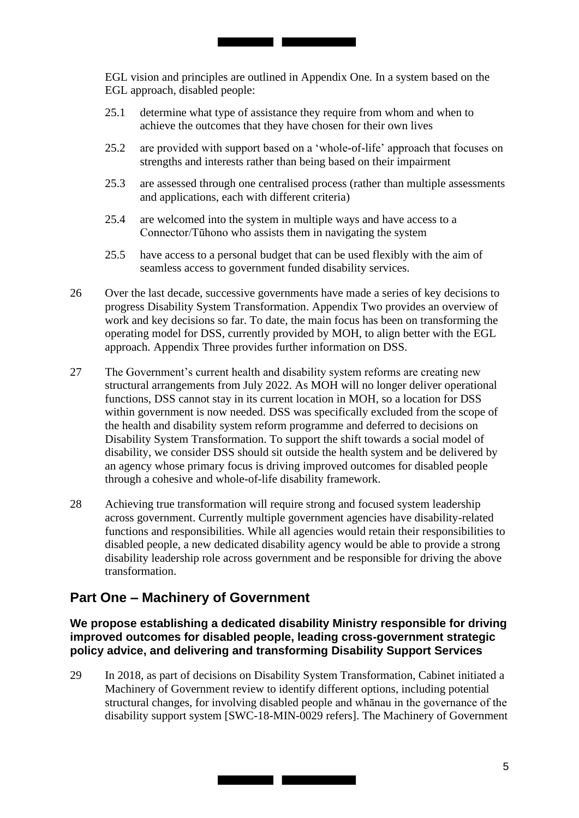EGL vision and principles are outlined in Appendix One. In a system based on the EGL approach, disabled people:

25.1 determine what type of assistance they require from whom and when to achieve the outcomes that they have chosen for their own lives

<u> Tanzania de la contrada de la contrada de la contrada de la contrada de la contrada de la contrada de la con</u>

- 25.2 are provided with support based on a 'whole-of-life' approach that focuses on strengths and interests rather than being based on their impairment
- 25.3 are assessed through one centralised process (rather than multiple assessments and applications, each with different criteria)
- 25.4 are welcomed into the system in multiple ways and have access to a Connector/Tūhono who assists them in navigating the system
- 25.5 have access to a personal budget that can be used flexibly with the aim of seamless access to government funded disability services.
- 26 Over the last decade, successive governments have made a series of key decisions to progress Disability System Transformation. Appendix Two provides an overview of work and key decisions so far. To date, the main focus has been on transforming the operating model for DSS, currently provided by MOH, to align better with the EGL approach. Appendix Three provides further information on DSS.
- 27 The Government's current health and disability system reforms are creating new structural arrangements from July 2022. As MOH will no longer deliver operational functions, DSS cannot stay in its current location in MOH, so a location for DSS within government is now needed. DSS was specifically excluded from the scope of the health and disability system reform programme and deferred to decisions on Disability System Transformation. To support the shift towards a social model of disability, we consider DSS should sit outside the health system and be delivered by an agency whose primary focus is driving improved outcomes for disabled people through a cohesive and whole-of-life disability framework.
- 28 Achieving true transformation will require strong and focused system leadership across government. Currently multiple government agencies have disability-related functions and responsibilities. While all agencies would retain their responsibilities to disabled people, a new dedicated disability agency would be able to provide a strong disability leadership role across government and be responsible for driving the above transformation.

# **Part One – Machinery of Government**

**We propose establishing a dedicated disability Ministry responsible for driving improved outcomes for disabled people, leading cross-government strategic policy advice, and delivering and transforming Disability Support Services** 

29 In 2018, as part of decisions on Disability System Transformation, Cabinet initiated a Machinery of Government review to identify different options, including potential structural changes, for involving disabled people and whānau in the governance of the disability support system [SWC-18-MIN-0029 refers]. The Machinery of Government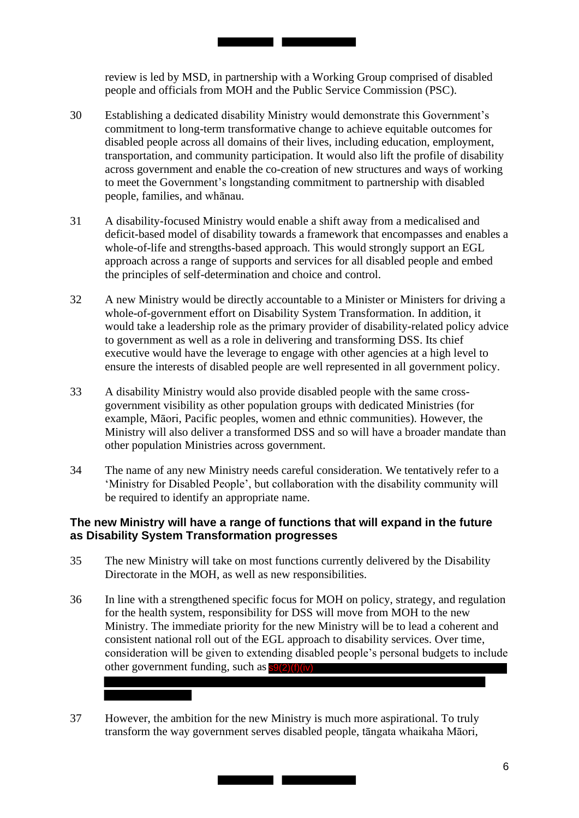review is led by MSD, in partnership with a Working Group comprised of disabled people and officials from MOH and the Public Service Commission (PSC).

<u>and the second second</u>

- commitment to long-term transformative change to achieve equitable outcomes for 30 Establishing a dedicated disability Ministry would demonstrate this Government's disabled people across all domains of their lives, including education, employment, transportation, and community participation. It would also lift the profile of disability across government and enable the co-creation of new structures and ways of working to meet the Government's longstanding commitment to partnership with disabled people, families, and whānau.
- 31 A disability-focused Ministry would enable a shift away from a medicalised and deficit-based model of disability towards a framework that encompasses and enables a whole-of-life and strengths-based approach. This would strongly support an EGL approach across a range of supports and services for all disabled people and embed the principles of self-determination and choice and control.
- 32 A new Ministry would be directly accountable to a Minister or Ministers for driving a whole-of-government effort on Disability System Transformation. In addition, it would take a leadership role as the primary provider of disability-related policy advice to government as well as a role in delivering and transforming DSS. Its chief executive would have the leverage to engage with other agencies at a high level to ensure the interests of disabled people are well represented in all government policy.
- 33 A disability Ministry would also provide disabled people with the same crossgovernment visibility as other population groups with dedicated Ministries (for example, Māori, Pacific peoples, women and ethnic communities). However, the Ministry will also deliver a transformed DSS and so will have a broader mandate than other population Ministries across government.
- 34 The name of any new Ministry needs careful consideration. We tentatively refer to a 'Ministry for Disabled People', but collaboration with the disability community will be required to identify an appropriate name.

# **The new Ministry will have a range of functions that will expand in the future as Disability System Transformation progresses**

- 35 The new Ministry will take on most functions currently delivered by the Disability Directorate in the MOH, as well as new responsibilities.
- 36 In line with a strengthened specific focus for MOH on policy, strategy, and regulation for the health system, responsibility for DSS will move from MOH to the new Ministry. The immediate priority for the new Ministry will be to lead a coherent and consistent national roll out of the EGL approach to disability services. Over time, consideration will be given to extending disabled people's personal budgets to include other government funding, such as **s9(2)(f)(iv)**
- 37 However, the ambition for the new Ministry is much more aspirational. To truly transform the way government serves disabled people, tāngata whaikaha Māori,

<u> Tanzania de la Carlo de la Ca</u>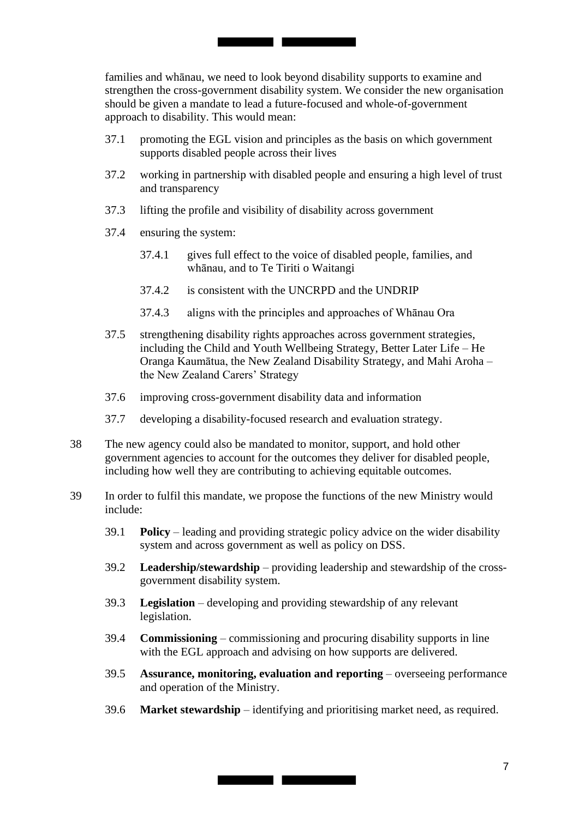families and whānau, we need to look beyond disability supports to examine and strengthen the cross-government disability system. We consider the new organisation should be given a mandate to lead a future-focused and whole-of-government approach to disability. This would mean:

the control of the control of

- 37.1 promoting the EGL vision and principles as the basis on which government supports disabled people across their lives
- 37.2 working in partnership with disabled people and ensuring a high level of trust and transparency
- 37.3 lifting the profile and visibility of disability across government
- 37.4 ensuring the system:
	- 37.4.1 gives full effect to the voice of disabled people, families, and whānau, and to Te Tiriti o Waitangi
	- 37.4.2 is consistent with the UNCRPD and the UNDRIP
	- 37.4.3 aligns with the principles and approaches of Whānau Ora
- 37.5 strengthening disability rights approaches across government strategies, including the Child and Youth Wellbeing Strategy, Better Later Life – He Oranga Kaumātua, the New Zealand Disability Strategy, and Mahi Aroha – the New Zealand Carers' Strategy
- 37.6 improving cross-government disability data and information
- 37.7 developing a disability-focused research and evaluation strategy.
- 38 The new agency could also be mandated to monitor, support, and hold other government agencies to account for the outcomes they deliver for disabled people, including how well they are contributing to achieving equitable outcomes.
- 39 In order to fulfil this mandate, we propose the functions of the new Ministry would include:
	- 39.1 **Policy**  leading and providing strategic policy advice on the wider disability system and across government as well as policy on DSS.
	- 39.2 **Leadership/stewardship**  providing leadership and stewardship of the crossgovernment disability system.
	- 39.3 **Legislation**  developing and providing stewardship of any relevant legislation.
	- 39.4 **Commissioning**  commissioning and procuring disability supports in line with the EGL approach and advising on how supports are delivered.
	- 39.5 **Assurance, monitoring, evaluation and reporting**  overseeing performance and operation of the Ministry.
	- 39.6 **Market stewardship**  identifying and prioritising market need, as required.

**Contract Contract Contract Contract**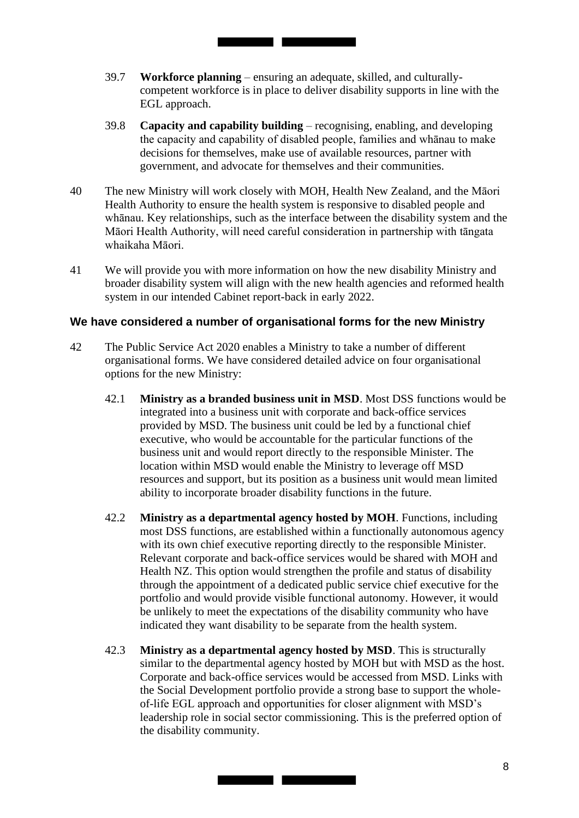39.7 **Workforce planning** – ensuring an adequate, skilled, and culturallycompetent workforce is in place to deliver disability supports in line with the EGL approach.

<u> Tanzania de la conte</u>

- 39.8 **Capacity and capability building**  recognising, enabling, and developing the capacity and capability of disabled people, families and whānau to make decisions for themselves, make use of available resources, partner with government, and advocate for themselves and their communities.
- 40 The new Ministry will work closely with MOH, Health New Zealand, and the Māori Health Authority to ensure the health system is responsive to disabled people and whānau. Key relationships, such as the interface between the disability system and the Māori Health Authority, will need careful consideration in partnership with tāngata whaikaha Māori.
- 41 We will provide you with more information on how the new disability Ministry and broader disability system will align with the new health agencies and reformed health system in our intended Cabinet report-back in early 2022.

## **We have considered a number of organisational forms for the new Ministry**

- 42 The Public Service Act 2020 enables a Ministry to take a number of different organisational forms. We have considered detailed advice on four organisational options for the new Ministry:
	- 42.1 **Ministry as a branded business unit in MSD**. Most DSS functions would be integrated into a business unit with corporate and back-office services provided by MSD. The business unit could be led by a functional chief executive, who would be accountable for the particular functions of the business unit and would report directly to the responsible Minister. The location within MSD would enable the Ministry to leverage off MSD resources and support, but its position as a business unit would mean limited ability to incorporate broader disability functions in the future.
	- 42.2 **Ministry as a departmental agency hosted by MOH**. Functions, including most DSS functions, are established within a functionally autonomous agency with its own chief executive reporting directly to the responsible Minister. Relevant corporate and back-office services would be shared with MOH and Health NZ. This option would strengthen the profile and status of disability through the appointment of a dedicated public service chief executive for the portfolio and would provide visible functional autonomy. However, it would be unlikely to meet the expectations of the disability community who have indicated they want disability to be separate from the health system.
	- 42.3 **Ministry as a departmental agency hosted by MSD**. This is structurally similar to the departmental agency hosted by MOH but with MSD as the host. Corporate and back-office services would be accessed from MSD. Links with the Social Development portfolio provide a strong base to support the wholeof-life EGL approach and opportunities for closer alignment with MSD's leadership role in social sector commissioning. This is the preferred option of the disability community.

<u> Tanzania de la contrada de la contrada de la contrada de la contrada de la contrada de la contrada de la contrad</u>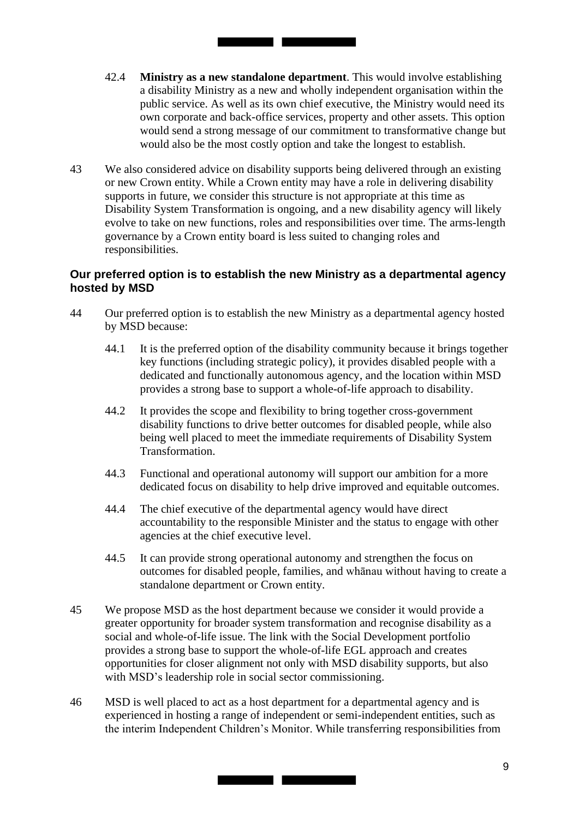42.4 **Ministry as a new standalone department**. This would involve establishing a disability Ministry as a new and wholly independent organisation within the public service. As well as its own chief executive, the Ministry would need its own corporate and back-office services, property and other assets. This option would send a strong message of our commitment to transformative change but would also be the most costly option and take the longest to establish.

<u> Tanzania de la provincia de la conte</u>

43 We also considered advice on disability supports being delivered through an existing or new Crown entity. While a Crown entity may have a role in delivering disability supports in future, we consider this structure is not appropriate at this time as Disability System Transformation is ongoing, and a new disability agency will likely evolve to take on new functions, roles and responsibilities over time. The arms-length governance by a Crown entity board is less suited to changing roles and responsibilities.

## **Our preferred option is to establish the new Ministry as a departmental agency hosted by MSD**

- 44 Our preferred option is to establish the new Ministry as a departmental agency hosted by MSD because:
	- 44.1 It is the preferred option of the disability community because it brings together key functions (including strategic policy), it provides disabled people with a dedicated and functionally autonomous agency, and the location within MSD provides a strong base to support a whole-of-life approach to disability.
	- 44.2 It provides the scope and flexibility to bring together cross-government disability functions to drive better outcomes for disabled people, while also being well placed to meet the immediate requirements of Disability System Transformation.
	- 44.3 Functional and operational autonomy will support our ambition for a more dedicated focus on disability to help drive improved and equitable outcomes.
	- 44.4 The chief executive of the departmental agency would have direct accountability to the responsible Minister and the status to engage with other agencies at the chief executive level.
	- 44.5 It can provide strong operational autonomy and strengthen the focus on outcomes for disabled people, families, and whānau without having to create a standalone department or Crown entity.
- 45 We propose MSD as the host department because we consider it would provide a greater opportunity for broader system transformation and recognise disability as a social and whole-of-life issue. The link with the Social Development portfolio provides a strong base to support the whole-of-life EGL approach and creates opportunities for closer alignment not only with MSD disability supports, but also with MSD's leadership role in social sector commissioning.
- 46 MSD is well placed to act as a host department for a departmental agency and is experienced in hosting a range of independent or semi-independent entities, such as the interim Independent Children's Monitor. While transferring responsibilities from

<u> Tanzania de la provincia de la provincia de la provincia de la provincia de la provincia de la provincia de l</u>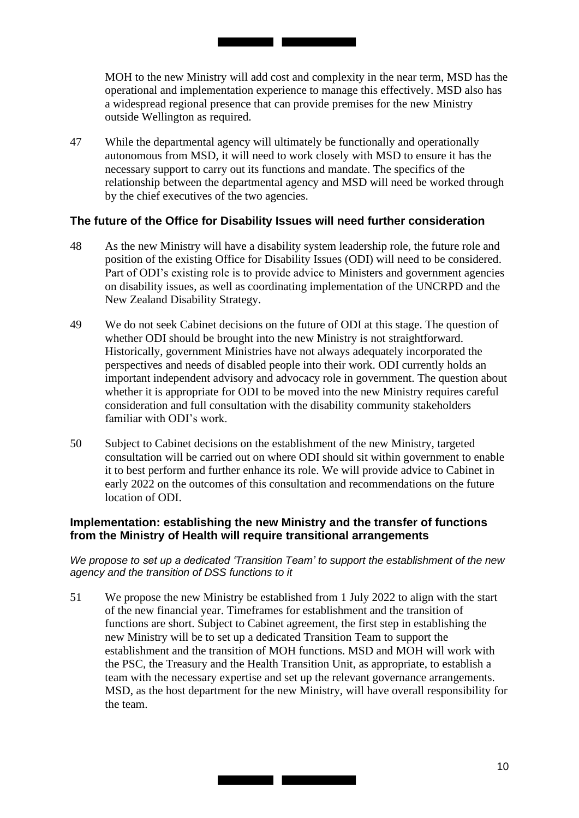MOH to the new Ministry will add cost and complexity in the near term, MSD has the operational and implementation experience to manage this effectively. MSD also has a widespread regional presence that can provide premises for the new Ministry outside Wellington as required.

47 While the departmental agency will ultimately be functionally and operationally autonomous from MSD, it will need to work closely with MSD to ensure it has the necessary support to carry out its functions and mandate. The specifics of the relationship between the departmental agency and MSD will need be worked through by the chief executives of the two agencies.

<u> Tanzania de la conte</u>

#### **The future of the Office for Disability Issues will need further consideration**

- 48 As the new Ministry will have a disability system leadership role, the future role and position of the existing Office for Disability Issues (ODI) will need to be considered. Part of ODI's existing role is to provide advice to Ministers and government agencies on disability issues, as well as coordinating implementation of the UNCRPD and the New Zealand Disability Strategy.
- 49 We do not seek Cabinet decisions on the future of ODI at this stage. The question of whether ODI should be brought into the new Ministry is not straightforward. Historically, government Ministries have not always adequately incorporated the perspectives and needs of disabled people into their work. ODI currently holds an important independent advisory and advocacy role in government. The question about whether it is appropriate for ODI to be moved into the new Ministry requires careful consideration and full consultation with the disability community stakeholders familiar with ODI's work.
- 50 Subject to Cabinet decisions on the establishment of the new Ministry, targeted consultation will be carried out on where ODI should sit within government to enable it to best perform and further enhance its role. We will provide advice to Cabinet in early 2022 on the outcomes of this consultation and recommendations on the future location of ODI.

#### **Implementation: establishing the new Ministry and the transfer of functions from the Ministry of Health will require transitional arrangements**

 *We propose to set up a dedicated 'Transition Team' to support the establishment of the new agency and the transition of DSS functions to it* 

51 We propose the new Ministry be established from 1 July 2022 to align with the start of the new financial year. Timeframes for establishment and the transition of functions are short. Subject to Cabinet agreement, the first step in establishing the new Ministry will be to set up a dedicated Transition Team to support the establishment and the transition of MOH functions. MSD and MOH will work with the PSC, the Treasury and the Health Transition Unit, as appropriate, to establish a team with the necessary expertise and set up the relevant governance arrangements. MSD, as the host department for the new Ministry, will have overall responsibility for the team.

<u> Tanzania (h. 1878).</u>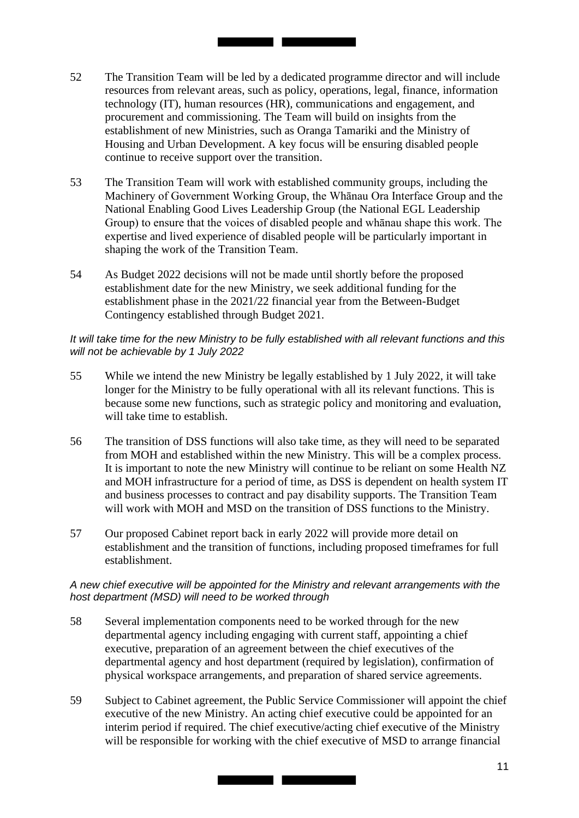52 The Transition Team will be led by a dedicated programme director and will include resources from relevant areas, such as policy, operations, legal, finance, information technology (IT), human resources (HR), communications and engagement, and procurement and commissioning. The Team will build on insights from the establishment of new Ministries, such as Oranga Tamariki and the Ministry of Housing and Urban Development. A key focus will be ensuring disabled people continue to receive support over the transition.

<u> The Common Service Common Service Common Service Common Service Common Service Common Service Common Service Common Service Common Service Common Service Common Service Common Service Common Service Common Service Common</u>

- Machinery of Government Working Group, the Whānau Ora Interface Group and the 53 The Transition Team will work with established community groups, including the National Enabling Good Lives Leadership Group (the National EGL Leadership Group) to ensure that the voices of disabled people and whānau shape this work. The expertise and lived experience of disabled people will be particularly important in shaping the work of the Transition Team.
- 54 As Budget 2022 decisions will not be made until shortly before the proposed establishment date for the new Ministry, we seek additional funding for the establishment phase in the 2021/22 financial year from the Between-Budget Contingency established through Budget 2021.

#### *It will take time for the new Ministry to be fully established with all relevant functions and this will not be achievable by 1 July 2022*

- 55 While we intend the new Ministry be legally established by 1 July 2022, it will take longer for the Ministry to be fully operational with all its relevant functions. This is because some new functions, such as strategic policy and monitoring and evaluation, will take time to establish.
- and MOH infrastructure for a period of time, as DSS is dependent on health system IT 56 The transition of DSS functions will also take time, as they will need to be separated from MOH and established within the new Ministry. This will be a complex process. It is important to note the new Ministry will continue to be reliant on some Health NZ and business processes to contract and pay disability supports. The Transition Team will work with MOH and MSD on the transition of DSS functions to the Ministry.
- 57 Our proposed Cabinet report back in early 2022 will provide more detail on establishment and the transition of functions, including proposed timeframes for full establishment.

#### *A new chief executive will be appointed for the Ministry and relevant arrangements with the host department (MSD) will need to be worked through*

- 58 Several implementation components need to be worked through for the new departmental agency including engaging with current staff, appointing a chief executive, preparation of an agreement between the chief executives of the departmental agency and host department (required by legislation), confirmation of physical workspace arrangements, and preparation of shared service agreements.
- executive of the new Ministry. An acting chief executive could be appointed for an 59 Subject to Cabinet agreement, the Public Service Commissioner will appoint the chief interim period if required. The chief executive/acting chief executive of the Ministry will be responsible for working with the chief executive of MSD to arrange financial

<u> Tanzania de la Ca</u>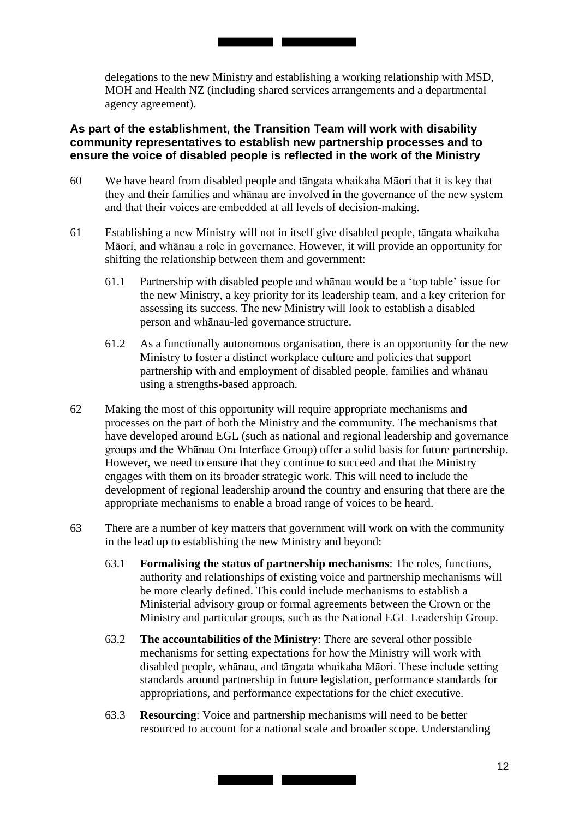delegations to the new Ministry and establishing a working relationship with MSD, MOH and Health NZ (including shared services arrangements and a departmental agency agreement).

<u> Tanzania de la contrada de la contrada de la contrada de la contrada de la contrada de la contrada de la con</u>

## **As part of the establishment, the Transition Team will work with disability community representatives to establish new partnership processes and to ensure the voice of disabled people is reflected in the work of the Ministry**

- 60 We have heard from disabled people and tāngata whaikaha Māori that it is key that they and their families and whānau are involved in the governance of the new system and that their voices are embedded at all levels of decision-making.
- 61 Establishing a new Ministry will not in itself give disabled people, tāngata whaikaha Māori, and whānau a role in governance. However, it will provide an opportunity for shifting the relationship between them and government:
	- 61.1 Partnership with disabled people and whānau would be a 'top table' issue for the new Ministry, a key priority for its leadership team, and a key criterion for assessing its success. The new Ministry will look to establish a disabled person and whānau-led governance structure.
	- 61.2 As a functionally autonomous organisation, there is an opportunity for the new Ministry to foster a distinct workplace culture and policies that support partnership with and employment of disabled people, families and whānau using a strengths-based approach.
- groups and the Whānau Ora Interface Group) offer a solid basis for future partnership. 62 Making the most of this opportunity will require appropriate mechanisms and processes on the part of both the Ministry and the community. The mechanisms that have developed around EGL (such as national and regional leadership and governance However, we need to ensure that they continue to succeed and that the Ministry engages with them on its broader strategic work. This will need to include the development of regional leadership around the country and ensuring that there are the appropriate mechanisms to enable a broad range of voices to be heard.
- 63 There are a number of key matters that government will work on with the community in the lead up to establishing the new Ministry and beyond:
	- 63.1 **Formalising the status of partnership mechanisms**: The roles, functions, authority and relationships of existing voice and partnership mechanisms will be more clearly defined. This could include mechanisms to establish a Ministerial advisory group or formal agreements between the Crown or the Ministry and particular groups, such as the National EGL Leadership Group.
	- 63.2 **The accountabilities of the Ministry**: There are several other possible mechanisms for setting expectations for how the Ministry will work with disabled people, whānau, and tāngata whaikaha Māori. These include setting standards around partnership in future legislation, performance standards for appropriations, and performance expectations for the chief executive.
	- 63.3 **Resourcing**: Voice and partnership mechanisms will need to be better resourced to account for a national scale and broader scope. Understanding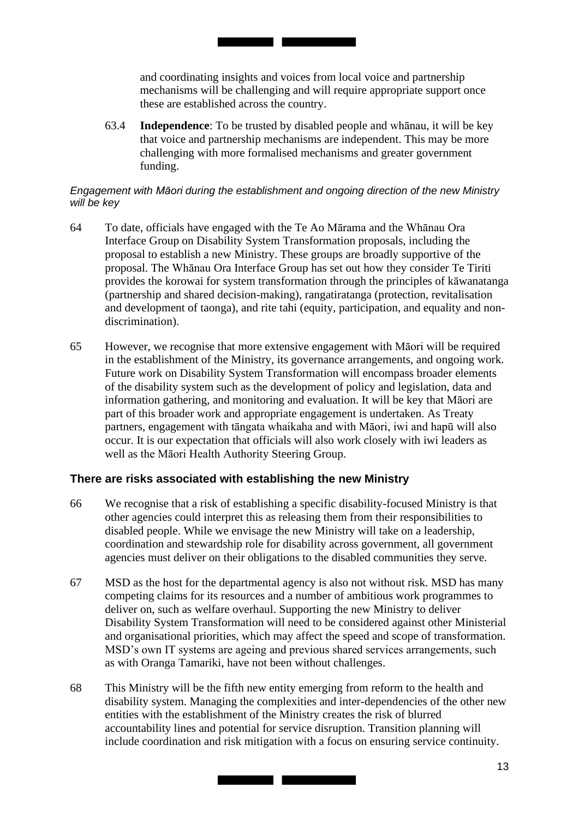and coordinating insights and voices from local voice and partnership mechanisms will be challenging and will require appropriate support once these are established across the country.

63.4 **Independence**: To be trusted by disabled people and whānau, it will be key that voice and partnership mechanisms are independent. This may be more challenging with more formalised mechanisms and greater government funding.

#### *Engagement with Māori during the establishment and ongoing direction of the new Ministry will be key*

<u> Tanzania de la contrada de la contrada de la contrada de la contrada de la contrada de la contrada de la con</u>

- 64 To date, officials have engaged with the Te Ao Mārama and the Whānau Ora Interface Group on Disability System Transformation proposals, including the proposal to establish a new Ministry. These groups are broadly supportive of the proposal. The Whānau Ora Interface Group has set out how they consider Te Tiriti provides the korowai for system transformation through the principles of kāwanatanga (partnership and shared decision-making), rangatiratanga (protection, revitalisation and development of taonga), and rite tahi (equity, participation, and equality and nondiscrimination).
- 65 However, we recognise that more extensive engagement with Māori will be required in the establishment of the Ministry, its governance arrangements, and ongoing work. Future work on Disability System Transformation will encompass broader elements of the disability system such as the development of policy and legislation, data and information gathering, and monitoring and evaluation. It will be key that Māori are part of this broader work and appropriate engagement is undertaken. As Treaty partners, engagement with tāngata whaikaha and with Māori, iwi and hapū will also occur. It is our expectation that officials will also work closely with iwi leaders as well as the Māori Health Authority Steering Group.

#### **There are risks associated with establishing the new Ministry**

- 66 We recognise that a risk of establishing a specific disability-focused Ministry is that other agencies could interpret this as releasing them from their responsibilities to disabled people. While we envisage the new Ministry will take on a leadership, coordination and stewardship role for disability across government, all government agencies must deliver on their obligations to the disabled communities they serve.
- 67 MSD as the host for the departmental agency is also not without risk. MSD has many competing claims for its resources and a number of ambitious work programmes to deliver on, such as welfare overhaul. Supporting the new Ministry to deliver Disability System Transformation will need to be considered against other Ministerial and organisational priorities, which may affect the speed and scope of transformation. MSD's own IT systems are ageing and previous shared services arrangements, such as with Oranga Tamariki, have not been without challenges.
- 68 This Ministry will be the fifth new entity emerging from reform to the health and disability system. Managing the complexities and inter-dependencies of the other new entities with the establishment of the Ministry creates the risk of blurred accountability lines and potential for service disruption. Transition planning will include coordination and risk mitigation with a focus on ensuring service continuity.

<u> Tanzania de la provincia de la provincia de la provincia de la provincia de la provincia de la provincia de l</u>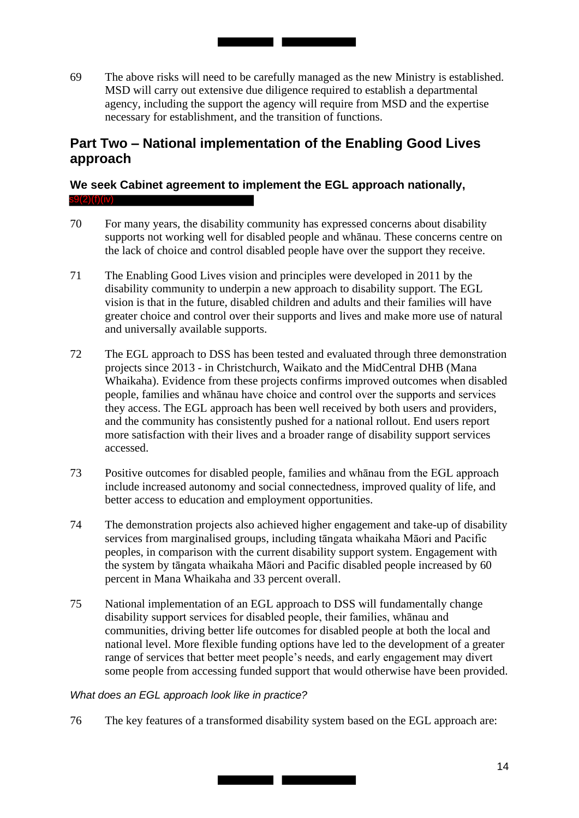69 The above risks will need to be carefully managed as the new Ministry is established. MSD will carry out extensive due diligence required to establish a departmental agency, including the support the agency will require from MSD and the expertise necessary for establishment, and the transition of functions.

<u> Tanzania de la Tanzania de la Tanzania de la Tanzania de la Tanzania de la Tanzania de la Tanzania de la Tan</u>

# **Part Two – National implementation of the Enabling Good Lives approach**

#### **We seek Cabinet agreement to implement the EGL approach nationally,**   $s9(2)$ (f)(iv)

- 70 For many years, the disability community has expressed concerns about disability supports not working well for disabled people and whānau. These concerns centre on the lack of choice and control disabled people have over the support they receive.
- 71 The Enabling Good Lives vision and principles were developed in 2011 by the disability community to underpin a new approach to disability support. The EGL vision is that in the future, disabled children and adults and their families will have greater choice and control over their supports and lives and make more use of natural and universally available supports.
- people, families and whānau have choice and control over the supports and services 72 The EGL approach to DSS has been tested and evaluated through three demonstration projects since 2013 - in Christchurch, Waikato and the MidCentral DHB (Mana Whaikaha). Evidence from these projects confirms improved outcomes when disabled they access. The EGL approach has been well received by both users and providers, and the community has consistently pushed for a national rollout. End users report more satisfaction with their lives and a broader range of disability support services accessed.
- 73 Positive outcomes for disabled people, families and whānau from the EGL approach include increased autonomy and social connectedness, improved quality of life, and better access to education and employment opportunities.
- 74 The demonstration projects also achieved higher engagement and take-up of disability services from marginalised groups, including tāngata whaikaha Māori and Pacific peoples, in comparison with the current disability support system. Engagement with the system by tāngata whaikaha Māori and Pacific disabled people increased by 60 percent in Mana Whaikaha and 33 percent overall.
- 75 National implementation of an EGL approach to DSS will fundamentally change disability support services for disabled people, their families, whānau and communities, driving better life outcomes for disabled people at both the local and national level. More flexible funding options have led to the development of a greater range of services that better meet people's needs, and early engagement may divert some people from accessing funded support that would otherwise have been provided.

## *What does an EGL approach look like in practice?*

76 The key features of a transformed disability system based on the EGL approach are: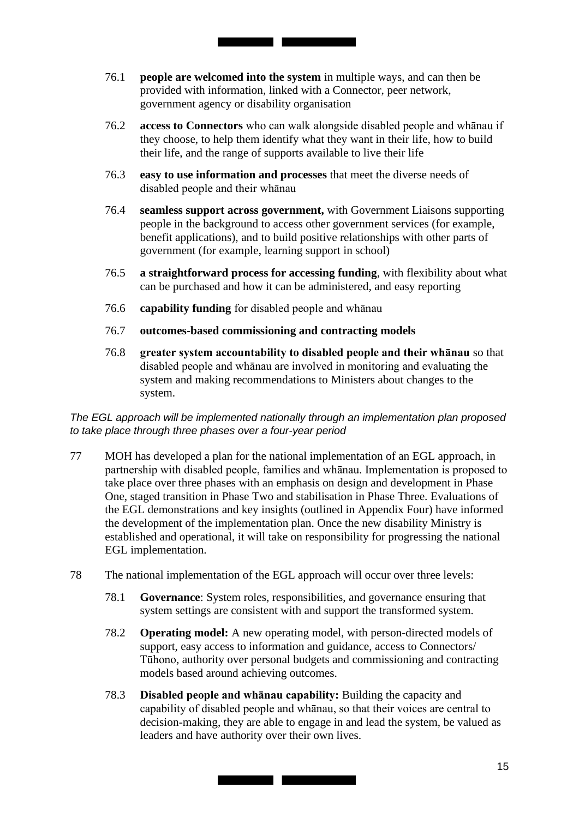76.1 **people are welcomed into the system** in multiple ways, and can then be provided with information, linked with a Connector, peer network, government agency or disability organisation

<u> Tanzania de la contrada de la contrada de la contrada de la contrada de la contrada de la contrada de la con</u>

- 76.2 **access to Connectors** who can walk alongside disabled people and whānau if they choose, to help them identify what they want in their life, how to build their life, and the range of supports available to live their life
- 76.3 **easy to use information and processes** that meet the diverse needs of disabled people and their whānau
- 76.4 **seamless support across government,** with Government Liaisons supporting people in the background to access other government services (for example, benefit applications), and to build positive relationships with other parts of government (for example, learning support in school)
- 76.5 **a straightforward process for accessing funding**, with flexibility about what can be purchased and how it can be administered, and easy reporting
- 76.6 **capability funding** for disabled people and whānau
- 76.7 **outcomes-based commissioning and contracting models**
- 76.8 **greater system accountability to disabled people and their whānau** so that disabled people and whānau are involved in monitoring and evaluating the system and making recommendations to Ministers about changes to the system.

 *The EGL approach will be implemented nationally through an implementation plan proposed to take place through three phases over a four-year period* 

- 77 MOH has developed a plan for the national implementation of an EGL approach, in partnership with disabled people, families and whānau. Implementation is proposed to take place over three phases with an emphasis on design and development in Phase One, staged transition in Phase Two and stabilisation in Phase Three. Evaluations of the EGL demonstrations and key insights (outlined in Appendix Four) have informed the development of the implementation plan. Once the new disability Ministry is established and operational, it will take on responsibility for progressing the national EGL implementation.
- 78 The national implementation of the EGL approach will occur over three levels:
	- 78.1 **Governance**: System roles, responsibilities, and governance ensuring that system settings are consistent with and support the transformed system.
	- 78.2 **Operating model:** A new operating model, with person-directed models of support, easy access to information and guidance, access to Connectors/ Tūhono, authority over personal budgets and commissioning and contracting models based around achieving outcomes.
	- 78.3 **Disabled people and whānau capability:** Building the capacity and capability of disabled people and whānau, so that their voices are central to decision-making, they are able to engage in and lead the system, be valued as leaders and have authority over their own lives.

<u> The Common State of the Common Sta</u>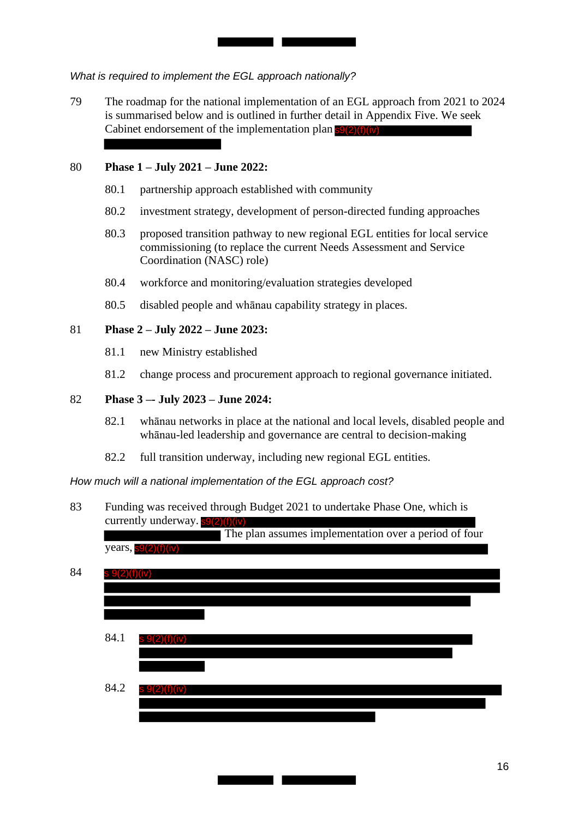*What is required to implement the EGL approach nationally?* 

79 The roadmap for the national implementation of an EGL approach from 2021 to 2024 is summarised below and is outlined in further detail in Appendix Five. We seek Cabinet endorsement of the implementation plan s9(2)(f)(iv)

<u> Tanzania de la contrada de la con</u>

#### 80 **Phase 1 – July 2021 – June 2022:**

- 80.1 partnership approach established with community
- 80.2 investment strategy, development of person-directed funding approaches
- 80.3 proposed transition pathway to new regional EGL entities for local service commissioning (to replace the current Needs Assessment and Service Coordination (NASC) role)
- 80.4 workforce and monitoring/evaluation strategies developed
- 80.5 disabled people and whānau capability strategy in places.

#### 81 **Phase 2 – July 2022 – June 2023:**

- 81.1 new Ministry established
- 81.2 change process and procurement approach to regional governance initiated.

#### 82 **Phase 3 –- July 2023 – June 2024:**

- 82.1 whānau networks in place at the national and local levels, disabled people and whānau-led leadership and governance are central to decision-making
- 82.2 full transition underway, including new regional EGL entities.

 *How much will a national implementation of the EGL approach cost?* 

83 Funding was received through Budget 2021 to undertake Phase One, which is currently underway. **s**9(2)(f)(iv)

 The plan assumes implementation over a period of four years,  $s9(2)(f)(iv)$ 

| 84.1 | $s \ 9(2)(f)(iv)$ |  |
|------|-------------------|--|
|      |                   |  |
|      |                   |  |
| 84.2 | s 9(2)(f)(iv)     |  |
|      |                   |  |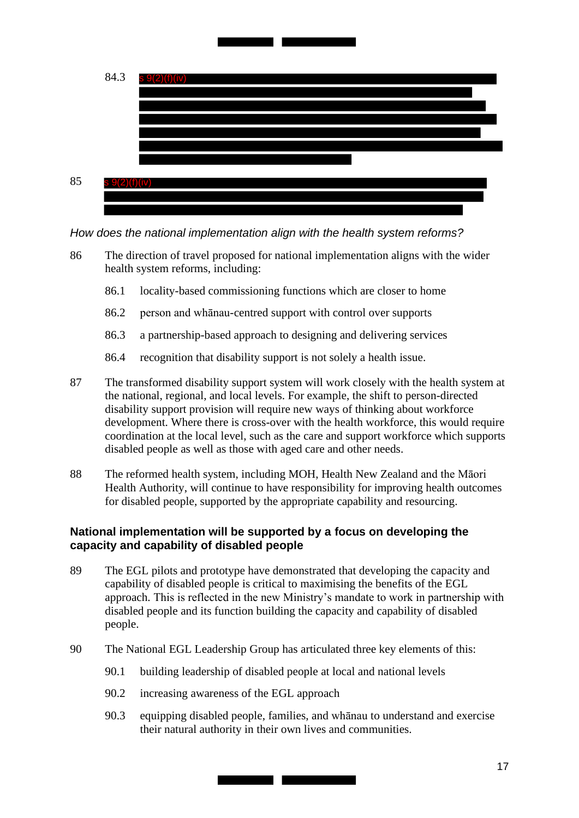

*How does the national implementation align with the health system reforms?* 

- 86 The direction of travel proposed for national implementation aligns with the wider health system reforms, including:
	- 86.1 locality-based commissioning functions which are closer to home
	- 86.2 person and whānau-centred support with control over supports
	- 86.3 a partnership-based approach to designing and delivering services
	- 86.4 recognition that disability support is not solely a health issue.
- 87 The transformed disability support system will work closely with the health system at the national, regional, and local levels. For example, the shift to person-directed disability support provision will require new ways of thinking about workforce development. Where there is cross-over with the health workforce, this would require coordination at the local level, such as the care and support workforce which supports disabled people as well as those with aged care and other needs.
- 88 The reformed health system, including MOH, Health New Zealand and the Māori Health Authority, will continue to have responsibility for improving health outcomes for disabled people, supported by the appropriate capability and resourcing.

# **National implementation will be supported by a focus on developing the capacity and capability of disabled people**

- 89 The EGL pilots and prototype have demonstrated that developing the capacity and capability of disabled people is critical to maximising the benefits of the EGL approach. This is reflected in the new Ministry's mandate to work in partnership with disabled people and its function building the capacity and capability of disabled people.
- 90 The National EGL Leadership Group has articulated three key elements of this:
	- 90.1 building leadership of disabled people at local and national levels
	- 90.2 increasing awareness of the EGL approach
	- 90.3 equipping disabled people, families, and whānau to understand and exercise their natural authority in their own lives and communities.

<u> Tanzania de la provincia de la provincia de la provincia de la provincia de la provincia de la provincia de l</u>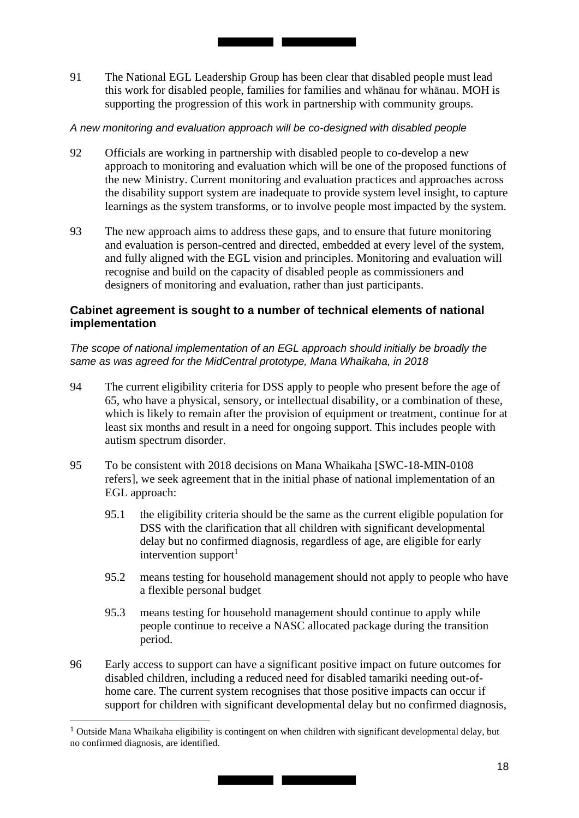91 The National EGL Leadership Group has been clear that disabled people must lead this work for disabled people, families for families and whānau for whānau. MOH is supporting the progression of this work in partnership with community groups.

#### *A new monitoring and evaluation approach will be co-designed with disabled people*

- 92 Officials are working in partnership with disabled people to co-develop a new approach to monitoring and evaluation which will be one of the proposed functions of the new Ministry. Current monitoring and evaluation practices and approaches across the disability support system are inadequate to provide system level insight, to capture learnings as the system transforms, or to involve people most impacted by the system.
- 93 The new approach aims to address these gaps, and to ensure that future monitoring and evaluation is person-centred and directed, embedded at every level of the system, and fully aligned with the EGL vision and principles. Monitoring and evaluation will recognise and build on the capacity of disabled people as commissioners and designers of monitoring and evaluation, rather than just participants.

## **Cabinet agreement is sought to a number of technical elements of national implementation**

 *The scope of national implementation of an EGL approach should initially be broadly the same as was agreed for the MidCentral prototype, Mana Whaikaha, in 2018* 

- 94 The current eligibility criteria for DSS apply to people who present before the age of 65, who have a physical, sensory, or intellectual disability, or a combination of these, which is likely to remain after the provision of equipment or treatment, continue for at least six months and result in a need for ongoing support. This includes people with autism spectrum disorder.
- 95 To be consistent with 2018 decisions on Mana Whaikaha [SWC-18-MIN-0108 refers], we seek agreement that in the initial phase of national implementation of an EGL approach:
	- 95.1 the eligibility criteria should be the same as the current eligible population for DSS with the clarification that all children with significant developmental delay but no confirmed diagnosis, regardless of age, are eligible for early intervention support $<sup>1</sup>$ </sup>
	- 95.2 means testing for household management should not apply to people who have a flexible personal budget
	- 95.3 means testing for household management should continue to apply while people continue to receive a NASC allocated package during the transition period.
- 96 Early access to support can have a significant positive impact on future outcomes for disabled children, including a reduced need for disabled tamariki needing out-ofhome care. The current system recognises that those positive impacts can occur if support for children with significant developmental delay but no confirmed diagnosis,

 $1$  Outside Mana Whaikaha eligibility is contingent on when children with significant developmental delay, but no confirmed diagnosis, are identified.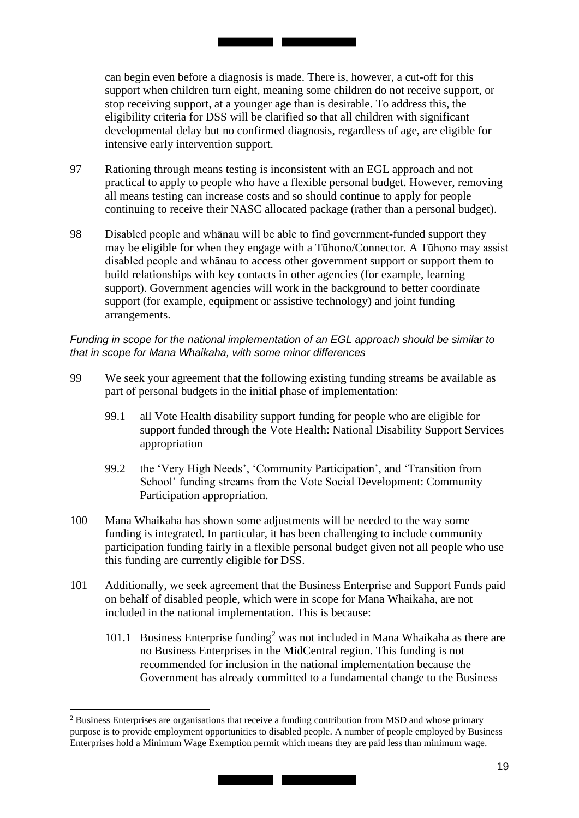can begin even before a diagnosis is made. There is, however, a cut-off for this developmental delay but no confirmed diagnosis, regardless of age, are eligible for support when children turn eight, meaning some children do not receive support, or stop receiving support, at a younger age than is desirable. To address this, the eligibility criteria for DSS will be clarified so that all children with significant intensive early intervention support.

<u> Tanzania de la contrada de la contrada de la contrada de la contrada de la contrada de la contrada de la con</u>

- 97 Rationing through means testing is inconsistent with an EGL approach and not practical to apply to people who have a flexible personal budget. However, removing all means testing can increase costs and so should continue to apply for people continuing to receive their NASC allocated package (rather than a personal budget).
- 98 Disabled people and whānau will be able to find government-funded support they may be eligible for when they engage with a Tūhono/Connector. A Tūhono may assist disabled people and whānau to access other government support or support them to build relationships with key contacts in other agencies (for example, learning support). Government agencies will work in the background to better coordinate support (for example, equipment or assistive technology) and joint funding arrangements.

#### Funding in scope for the national implementation of an EGL approach should be similar to  *that in scope for Mana Whaikaha, with some minor differences*

- 99 We seek your agreement that the following existing funding streams be available as part of personal budgets in the initial phase of implementation:
	- 99.1 all Vote Health disability support funding for people who are eligible for support funded through the Vote Health: National Disability Support Services appropriation
	- 99.2 the 'Very High Needs', 'Community Participation', and 'Transition from School' funding streams from the Vote Social Development: Community Participation appropriation.
- 100 Mana Whaikaha has shown some adjustments will be needed to the way some funding is integrated. In particular, it has been challenging to include community participation funding fairly in a flexible personal budget given not all people who use this funding are currently eligible for DSS.
- on behalf of disabled people, which were in scope for Mana Whaikaha, are not 101 Additionally, we seek agreement that the Business Enterprise and Support Funds paid included in the national implementation. This is because:
	- 101.1 Business Enterprise funding<sup>2</sup> was not included in Mana Whaikaha as there are no Business Enterprises in the MidCentral region. This funding is not recommended for inclusion in the national implementation because the Government has already committed to a fundamental change to the Business

 $2$  Business Enterprises are organisations that receive a funding contribution from MSD and whose primary purpose is to provide employment opportunities to disabled people. A number of people employed by Business Enterprises hold a Minimum Wage Exemption permit which means they are paid less than minimum wage.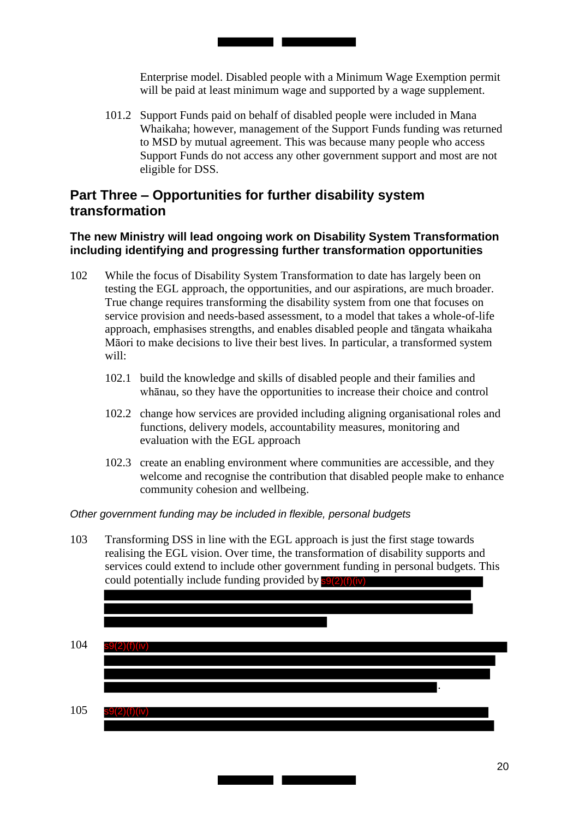Enterprise model. Disabled people with a Minimum Wage Exemption permit will be paid at least minimum wage and supported by a wage supplement.

101.2 Support Funds paid on behalf of disabled people were included in Mana Whaikaha; however, management of the Support Funds funding was returned to MSD by mutual agreement. This was because many people who access Support Funds do not access any other government support and most are not eligible for DSS.

# **Part Three – Opportunities for further disability system transformation**

## **The new Ministry will lead ongoing work on Disability System Transformation including identifying and progressing further transformation opportunities**

- 102 While the focus of Disability System Transformation to date has largely been on testing the EGL approach, the opportunities, and our aspirations, are much broader. True change requires transforming the disability system from one that focuses on service provision and needs-based assessment, to a model that takes a whole-of-life approach, emphasises strengths, and enables disabled people and tāngata whaikaha Māori to make decisions to live their best lives. In particular, a transformed system will:
	- 102.1 build the knowledge and skills of disabled people and their families and whānau, so they have the opportunities to increase their choice and control
	- 102.2 change how services are provided including aligning organisational roles and functions, delivery models, accountability measures, monitoring and evaluation with the EGL approach
	- 102.3 create an enabling environment where communities are accessible, and they welcome and recognise the contribution that disabled people make to enhance community cohesion and wellbeing.

 *Other government funding may be included in flexible, personal budgets* 

103 Transforming DSS in line with the EGL approach is just the first stage towards realising the EGL vision. Over time, the transformation of disability supports and services could extend to include other government funding in personal budgets. This could potentially include funding provided by **s9(2)(f)(iv)** 

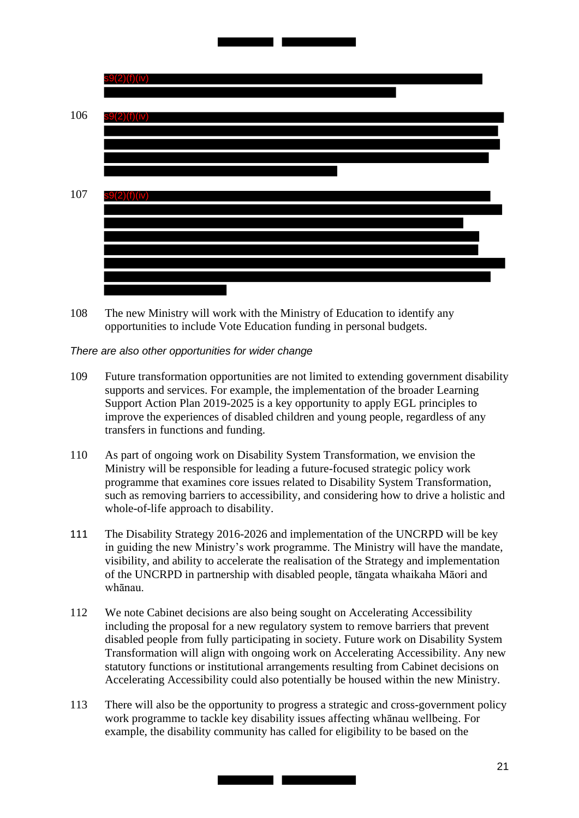

108 The new Ministry will work with the Ministry of Education to identify any opportunities to include Vote Education funding in personal budgets.

 *There are also other opportunities for wider change* 

- 109 Future transformation opportunities are not limited to extending government disability supports and services. For example, the implementation of the broader Learning Support Action Plan 2019-2025 is a key opportunity to apply EGL principles to improve the experiences of disabled children and young people, regardless of any transfers in functions and funding.
- 110 As part of ongoing work on Disability System Transformation, we envision the Ministry will be responsible for leading a future-focused strategic policy work programme that examines core issues related to Disability System Transformation, such as removing barriers to accessibility, and considering how to drive a holistic and whole-of-life approach to disability.
- 111 The Disability Strategy 2016-2026 and implementation of the UNCRPD will be key in guiding the new Ministry's work programme. The Ministry will have the mandate, visibility, and ability to accelerate the realisation of the Strategy and implementation of the UNCRPD in partnership with disabled people, tāngata whaikaha Māori and whānau.
- 112 We note Cabinet decisions are also being sought on Accelerating Accessibility including the proposal for a new regulatory system to remove barriers that prevent disabled people from fully participating in society. Future work on Disability System Transformation will align with ongoing work on Accelerating Accessibility. Any new statutory functions or institutional arrangements resulting from Cabinet decisions on Accelerating Accessibility could also potentially be housed within the new Ministry.
- 113 There will also be the opportunity to progress a strategic and cross-government policy work programme to tackle key disability issues affecting whānau wellbeing. For example, the disability community has called for eligibility to be based on the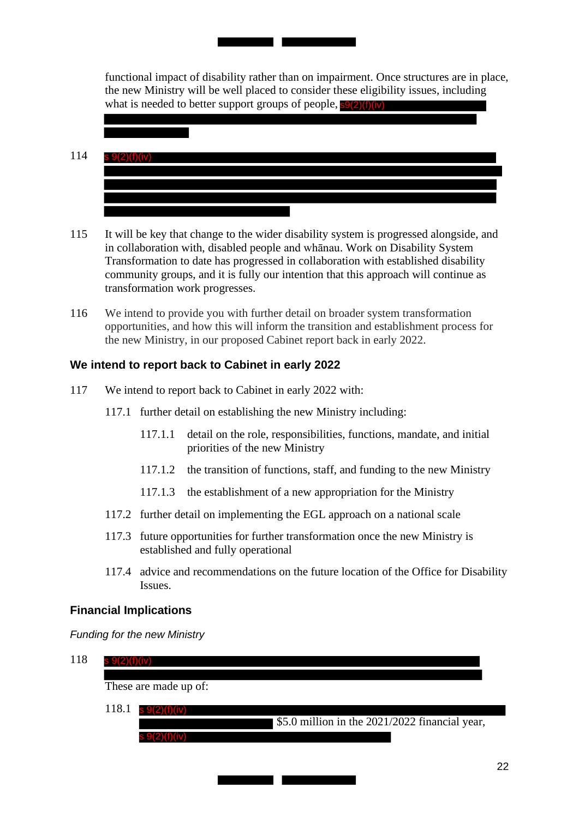functional impact of disability rather than on impairment. Once structures are in place, the new Ministry will be well placed to consider these eligibility issues, including what is needed to better support groups of people, s9(2)(f)(iv)

114 s 9(2)(f)(iv)

<u> Tanzania de la conte</u>

- 115 It will be key that change to the wider disability system is progressed alongside, and in collaboration with, disabled people and whānau. Work on Disability System Transformation to date has progressed in collaboration with established disability community groups, and it is fully our intention that this approach will continue as transformation work progresses.
- 116 We intend to provide you with further detail on broader system transformation opportunities, and how this will inform the transition and establishment process for the new Ministry, in our proposed Cabinet report back in early 2022.

# **We intend to report back to Cabinet in early 2022**

- 117 We intend to report back to Cabinet in early 2022 with:
	- 117.1 further detail on establishing the new Ministry including:
		- 117.1.1 detail on the role, responsibilities, functions, mandate, and initial priorities of the new Ministry
		- 117.1.2 the transition of functions, staff, and funding to the new Ministry
		- 117.1.3 the establishment of a new appropriation for the Ministry
	- 117.2 further detail on implementing the EGL approach on a national scale
	- 117.3 future opportunities for further transformation once the new Ministry is established and fully operational
	- 117.4 advice and recommendations on the future location of the Office for Disability Issues.

## **Financial Implications**

 *Funding for the new Ministry* 



a T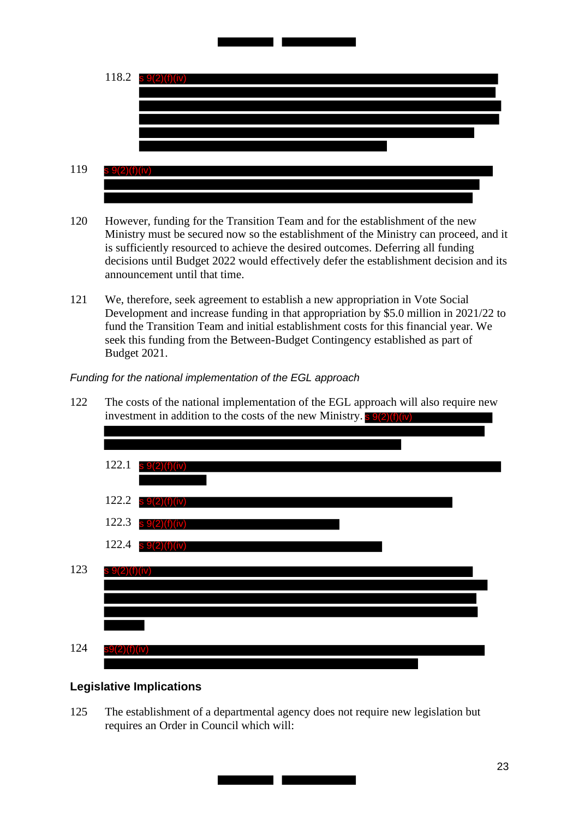

- 120 However, funding for the Transition Team and for the establishment of the new Ministry must be secured now so the establishment of the Ministry can proceed, and it is sufficiently resourced to achieve the desired outcomes. Deferring all funding decisions until Budget 2022 would effectively defer the establishment decision and its announcement until that time.
- 121 We, therefore, seek agreement to establish a new appropriation in Vote Social Development and increase funding in that appropriation by \$5.0 million in 2021/22 to fund the Transition Team and initial establishment costs for this financial year. We seek this funding from the Between-Budget Contingency established as part of Budget 2021.

 *Funding for the national implementation of the EGL approach* 



## **Legislative Implications**

125 The establishment of a departmental agency does not require new legislation but requires an Order in Council which will: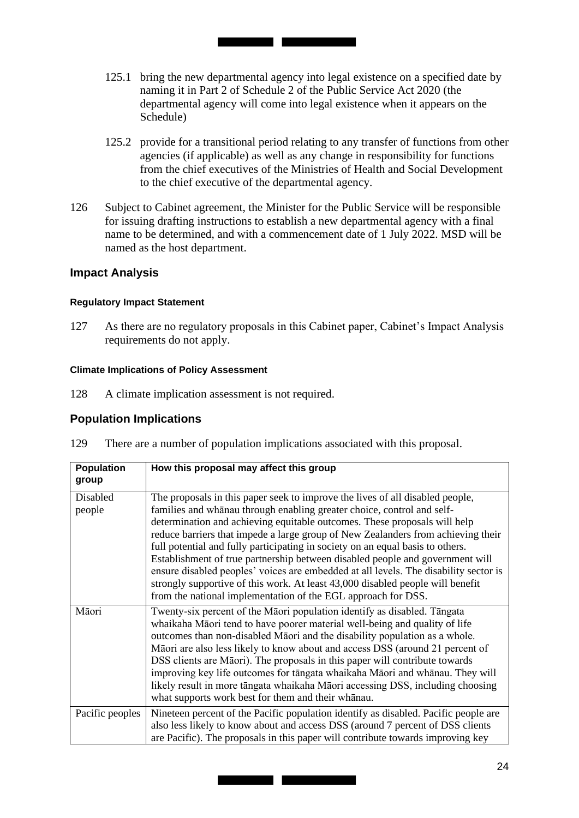- 125.1 bring the new departmental agency into legal existence on a specified date by naming it in Part 2 of Schedule 2 of the Public Service Act 2020 (the departmental agency will come into legal existence when it appears on the Schedule)
- 125.2 provide for a transitional period relating to any transfer of functions from other agencies (if applicable) as well as any change in responsibility for functions from the chief executives of the Ministries of Health and Social Development to the chief executive of the departmental agency.
- 126 Subject to Cabinet agreement, the Minister for the Public Service will be responsible for issuing drafting instructions to establish a new departmental agency with a final name to be determined, and with a commencement date of 1 July 2022. MSD will be named as the host department.

#### **Impact Analysis**

#### **Regulatory Impact Statement**

127 As there are no regulatory proposals in this Cabinet paper, Cabinet's Impact Analysis requirements do not apply.

#### **Climate Implications of Policy Assessment**

128 A climate implication assessment is not required.

## **Population Implications**

129 There are a number of population implications associated with this proposal.

| <b>Population</b> | How this proposal may affect this group                                              |  |  |  |  |
|-------------------|--------------------------------------------------------------------------------------|--|--|--|--|
| group             |                                                                                      |  |  |  |  |
| Disabled          | The proposals in this paper seek to improve the lives of all disabled people,        |  |  |  |  |
| people            | families and whanau through enabling greater choice, control and self-               |  |  |  |  |
|                   | determination and achieving equitable outcomes. These proposals will help            |  |  |  |  |
|                   | reduce barriers that impede a large group of New Zealanders from achieving their     |  |  |  |  |
|                   | full potential and fully participating in society on an equal basis to others.       |  |  |  |  |
|                   | Establishment of true partnership between disabled people and government will        |  |  |  |  |
|                   | ensure disabled peoples' voices are embedded at all levels. The disability sector is |  |  |  |  |
|                   | strongly supportive of this work. At least 43,000 disabled people will benefit       |  |  |  |  |
|                   | from the national implementation of the EGL approach for DSS.                        |  |  |  |  |
| Māori             | Twenty-six percent of the Māori population identify as disabled. Tāngata             |  |  |  |  |
|                   | whaikaha Māori tend to have poorer material well-being and quality of life           |  |  |  |  |
|                   | outcomes than non-disabled Maori and the disability population as a whole.           |  |  |  |  |
|                   | Māori are also less likely to know about and access DSS (around 21 percent of        |  |  |  |  |
|                   | DSS clients are Māori). The proposals in this paper will contribute towards          |  |  |  |  |
|                   | improving key life outcomes for tāngata whaikaha Māori and whānau. They will         |  |  |  |  |
|                   | likely result in more tāngata whaikaha Māori accessing DSS, including choosing       |  |  |  |  |
|                   | what supports work best for them and their whanau.                                   |  |  |  |  |
| Pacific peoples   | Nineteen percent of the Pacific population identify as disabled. Pacific people are  |  |  |  |  |
|                   | also less likely to know about and access DSS (around 7 percent of DSS clients       |  |  |  |  |
|                   | are Pacific). The proposals in this paper will contribute towards improving key      |  |  |  |  |

<u> Tanzania de la contenentación de la contenenta</u>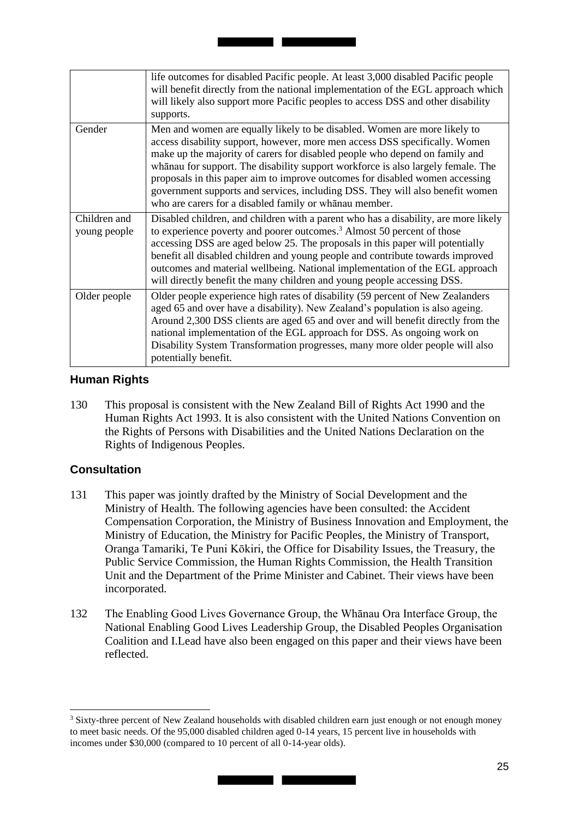|                              | life outcomes for disabled Pacific people. At least 3,000 disabled Pacific people<br>will benefit directly from the national implementation of the EGL approach which<br>will likely also support more Pacific peoples to access DSS and other disability<br>supports.                                                                                                                                                                                                                                                                                 |
|------------------------------|--------------------------------------------------------------------------------------------------------------------------------------------------------------------------------------------------------------------------------------------------------------------------------------------------------------------------------------------------------------------------------------------------------------------------------------------------------------------------------------------------------------------------------------------------------|
| Gender                       | Men and women are equally likely to be disabled. Women are more likely to<br>access disability support, however, more men access DSS specifically. Women<br>make up the majority of carers for disabled people who depend on family and<br>whanau for support. The disability support workforce is also largely female. The<br>proposals in this paper aim to improve outcomes for disabled women accessing<br>government supports and services, including DSS. They will also benefit women<br>who are carers for a disabled family or whanau member. |
| Children and<br>young people | Disabled children, and children with a parent who has a disability, are more likely<br>to experience poverty and poorer outcomes. <sup>3</sup> Almost 50 percent of those<br>accessing DSS are aged below 25. The proposals in this paper will potentially<br>benefit all disabled children and young people and contribute towards improved<br>outcomes and material wellbeing. National implementation of the EGL approach<br>will directly benefit the many children and young people accessing DSS.                                                |
| Older people                 | Older people experience high rates of disability (59 percent of New Zealanders<br>aged 65 and over have a disability). New Zealand's population is also ageing.<br>Around 2,300 DSS clients are aged 65 and over and will benefit directly from the<br>national implementation of the EGL approach for DSS. As ongoing work on<br>Disability System Transformation progresses, many more older people will also<br>potentially benefit.                                                                                                                |

## **Human Rights**

130 This proposal is consistent with the New Zealand Bill of Rights Act 1990 and the Human Rights Act 1993. It is also consistent with the United Nations Convention on the Rights of Persons with Disabilities and the United Nations Declaration on the Rights of Indigenous Peoples.

# **Consultation**

- 131 This paper was jointly drafted by the Ministry of Social Development and the Ministry of Health. The following agencies have been consulted: the Accident Compensation Corporation, the Ministry of Business Innovation and Employment, the Ministry of Education, the Ministry for Pacific Peoples, the Ministry of Transport, Oranga Tamariki, Te Puni Kōkiri, the Office for Disability Issues, the Treasury, the Public Service Commission, the Human Rights Commission, the Health Transition Unit and the Department of the Prime Minister and Cabinet. Their views have been incorporated.
- 132 The Enabling Good Lives Governance Group, the Whānau Ora Interface Group, the National Enabling Good Lives Leadership Group, the Disabled Peoples Organisation Coalition and I.Lead have also been engaged on this paper and their views have been reflected.

<sup>&</sup>lt;sup>3</sup> Sixty-three percent of New Zealand households with disabled children earn just enough or not enough money to meet basic needs. Of the 95,000 disabled children aged 0-14 years, 15 percent live in households with incomes under \$30,000 (compared to 10 percent of all 0-14-year olds).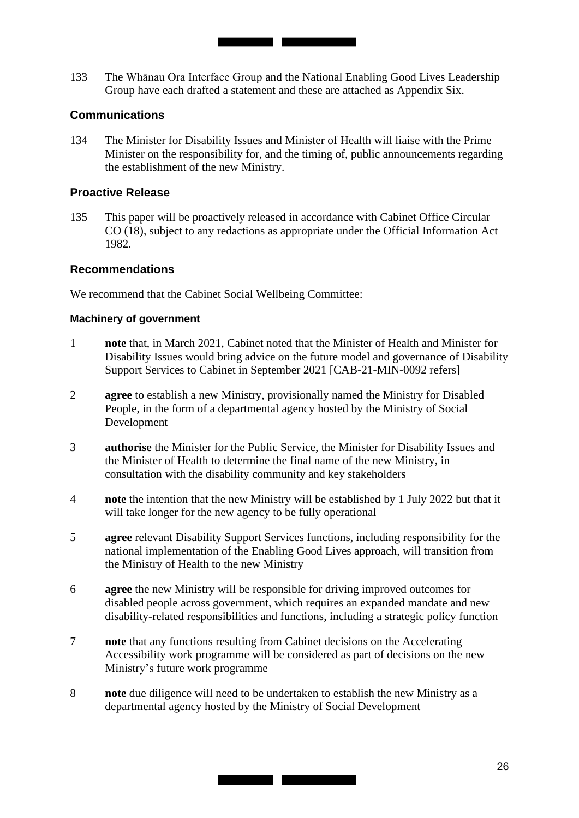133 The Whānau Ora Interface Group and the National Enabling Good Lives Leadership Group have each drafted a statement and these are attached as Appendix Six.

<u> Tanzania de la contrada de la contrada de la contrada de la contrada de la contrada de la contrada de la contrada de la contrada de la contrada de la contrada de la contrada de la contrada de la contrada de la contrada d</u>

#### **Communications**

134 The Minister for Disability Issues and Minister of Health will liaise with the Prime Minister on the responsibility for, and the timing of, public announcements regarding the establishment of the new Ministry.

#### **Proactive Release**

 135 This paper will be proactively released in accordance with Cabinet Office Circular CO (18), subject to any redactions as appropriate under the Official Information Act 1982.

#### **Recommendations**

We recommend that the Cabinet Social Wellbeing Committee:

#### **Machinery of government**

- 1 **note** that, in March 2021, Cabinet noted that the Minister of Health and Minister for Disability Issues would bring advice on the future model and governance of Disability Support Services to Cabinet in September 2021 [CAB-21-MIN-0092 refers]
- 2 **agree** to establish a new Ministry, provisionally named the Ministry for Disabled People, in the form of a departmental agency hosted by the Ministry of Social Development
- 3 **authorise** the Minister for the Public Service, the Minister for Disability Issues and the Minister of Health to determine the final name of the new Ministry, in consultation with the disability community and key stakeholders
- 4 **note** the intention that the new Ministry will be established by 1 July 2022 but that it will take longer for the new agency to be fully operational
- 5 **agree** relevant Disability Support Services functions, including responsibility for the national implementation of the Enabling Good Lives approach, will transition from the Ministry of Health to the new Ministry
- 6 **agree** the new Ministry will be responsible for driving improved outcomes for disabled people across government, which requires an expanded mandate and new disability-related responsibilities and functions, including a strategic policy function
- 7 **note** that any functions resulting from Cabinet decisions on the Accelerating Accessibility work programme will be considered as part of decisions on the new Ministry's future work programme
- 8 **note** due diligence will need to be undertaken to establish the new Ministry as a departmental agency hosted by the Ministry of Social Development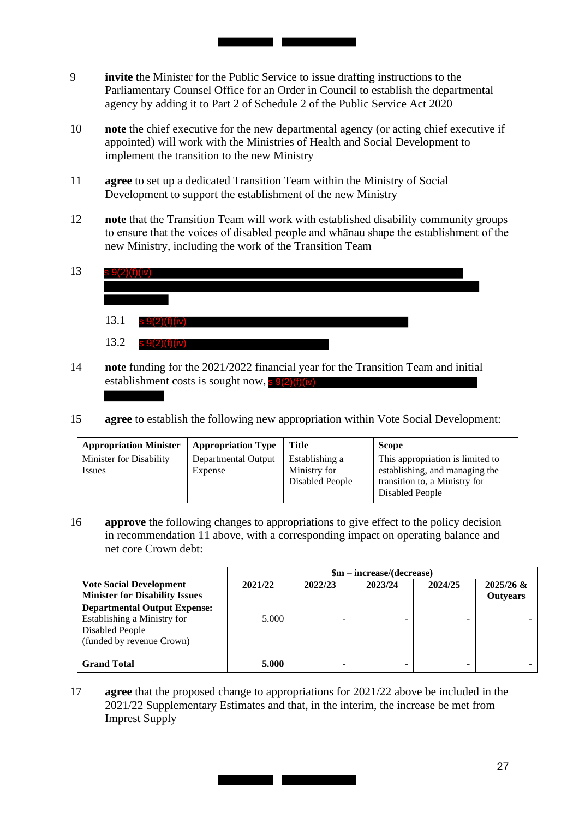9 **invite** the Minister for the Public Service to issue drafting instructions to the Parliamentary Counsel Office for an Order in Council to establish the departmental agency by adding it to Part 2 of Schedule 2 of the Public Service Act 2020

<u> Tanzania de la contrada de la contrada de la contrada de la contrada de la contrada de la contrada de la con</u>

- 10 **note** the chief executive for the new departmental agency (or acting chief executive if appointed) will work with the Ministries of Health and Social Development to implement the transition to the new Ministry
- 11 **agree** to set up a dedicated Transition Team within the Ministry of Social Development to support the establishment of the new Ministry
- 12 **note** that the Transition Team will work with established disability community groups to ensure that the voices of disabled people and whānau shape the establishment of the new Ministry, including the work of the Transition Team

| 13 |      |               |  |  |  |
|----|------|---------------|--|--|--|
|    |      |               |  |  |  |
|    | 13.1 | s 9(2)(f)(iv) |  |  |  |
|    | 13.2 | s 9(2)(f)(iv) |  |  |  |

- 14 **note** funding for the 2021/2022 financial year for the Transition Team and initial establishment costs is sought now, s 9(2)(f)(iv)
- 15 **agree** to establish the following new appropriation within Vote Social Development:

| <b>Appropriation Minister</b>     | <b>Appropriation Type</b>      | <b>Title</b>                                      | <b>Scope</b>                                                                                                           |
|-----------------------------------|--------------------------------|---------------------------------------------------|------------------------------------------------------------------------------------------------------------------------|
| Minister for Disability<br>Issues | Departmental Output<br>Expense | Establishing a<br>Ministry for<br>Disabled People | This appropriation is limited to<br>establishing, and managing the<br>transition to, a Ministry for<br>Disabled People |

16 **approve** the following changes to appropriations to give effect to the policy decision in recommendation 11 above, with a corresponding impact on operating balance and net core Crown debt:

|                                       | $$m - increase/(decrease)$ |         |         |         |                 |
|---------------------------------------|----------------------------|---------|---------|---------|-----------------|
| <b>Vote Social Development</b>        | 2021/22                    | 2022/23 | 2023/24 | 2024/25 | $2025/26$ &     |
| <b>Minister for Disability Issues</b> |                            |         |         |         | <b>Outyears</b> |
| <b>Departmental Output Expense:</b>   |                            |         |         |         |                 |
| Establishing a Ministry for           | 5.000                      |         |         |         |                 |
| Disabled People                       |                            |         |         |         |                 |
| (funded by revenue Crown)             |                            |         |         |         |                 |
|                                       |                            |         |         |         |                 |
| <b>Grand Total</b>                    | 5.000                      |         |         |         |                 |

## 17 **agree** that the proposed change to appropriations for 2021/22 above be included in the 2021/22 Supplementary Estimates and that, in the interim, the increase be met from Imprest Supply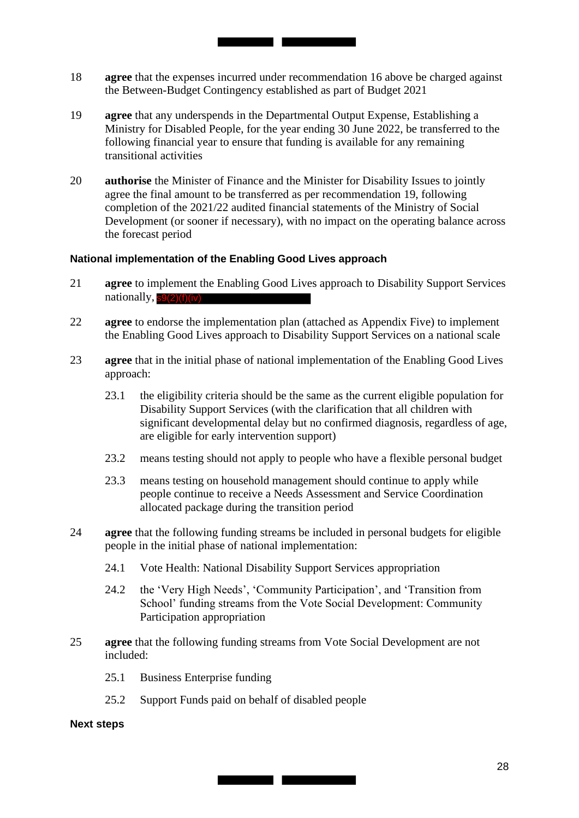18 **agree** that the expenses incurred under recommendation 16 above be charged against the Between-Budget Contingency established as part of Budget 2021

<u> Tanzania de la conte</u>

- 19 **agree** that any underspends in the Departmental Output Expense, Establishing a Ministry for Disabled People, for the year ending 30 June 2022, be transferred to the following financial year to ensure that funding is available for any remaining transitional activities
- 20 **authorise** the Minister of Finance and the Minister for Disability Issues to jointly agree the final amount to be transferred as per recommendation 19, following completion of the 2021/22 audited financial statements of the Ministry of Social Development (or sooner if necessary), with no impact on the operating balance across the forecast period

#### **National implementation of the Enabling Good Lives approach**

- 21 **agree** to implement the Enabling Good Lives approach to Disability Support Services nationally,  $s9(2)(f)(iv)$
- 22 **agree** to endorse the implementation plan (attached as Appendix Five) to implement the Enabling Good Lives approach to Disability Support Services on a national scale
- 23 **agree** that in the initial phase of national implementation of the Enabling Good Lives approach:
	- 23.1 the eligibility criteria should be the same as the current eligible population for Disability Support Services (with the clarification that all children with significant developmental delay but no confirmed diagnosis, regardless of age, are eligible for early intervention support)
	- 23.2 means testing should not apply to people who have a flexible personal budget
	- 23.3 means testing on household management should continue to apply while people continue to receive a Needs Assessment and Service Coordination allocated package during the transition period
- 24 **agree** that the following funding streams be included in personal budgets for eligible people in the initial phase of national implementation:
	- 24.1 Vote Health: National Disability Support Services appropriation
	- 24.2 the 'Very High Needs', 'Community Participation', and 'Transition from School' funding streams from the Vote Social Development: Community Participation appropriation
- 25 **agree** that the following funding streams from Vote Social Development are not included:

**State of the Contract of the Contract of the Contract of the Contract of the Contract of the Contract of the Co** 

- 25.1 Business Enterprise funding
- 25.2 Support Funds paid on behalf of disabled people

#### **Next steps**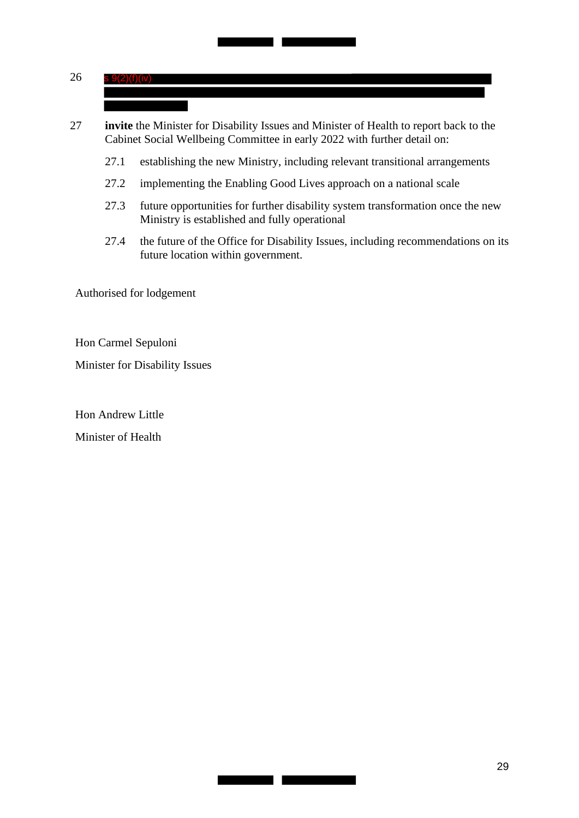#### 26 s 9(2)(f)(iv)

27 **invite** the Minister for Disability Issues and Minister of Health to report back to the Cabinet Social Wellbeing Committee in early 2022 with further detail on:

27.1 establishing the new Ministry, including relevant transitional arrangements

<u> Tanzania de la c</u>

- 27.2 implementing the Enabling Good Lives approach on a national scale
- 27.3 future opportunities for further disability system transformation once the new Ministry is established and fully operational
- 27.4 the future of the Office for Disability Issues, including recommendations on its future location within government.

<u> Tanzania de la contrada de la contrada de la contrada de la contrada de la contrada de la contrada de la contrad</u>

Authorised for lodgement

Hon Carmel Sepuloni

Minister for Disability Issues

Hon Andrew Little Minister of Health